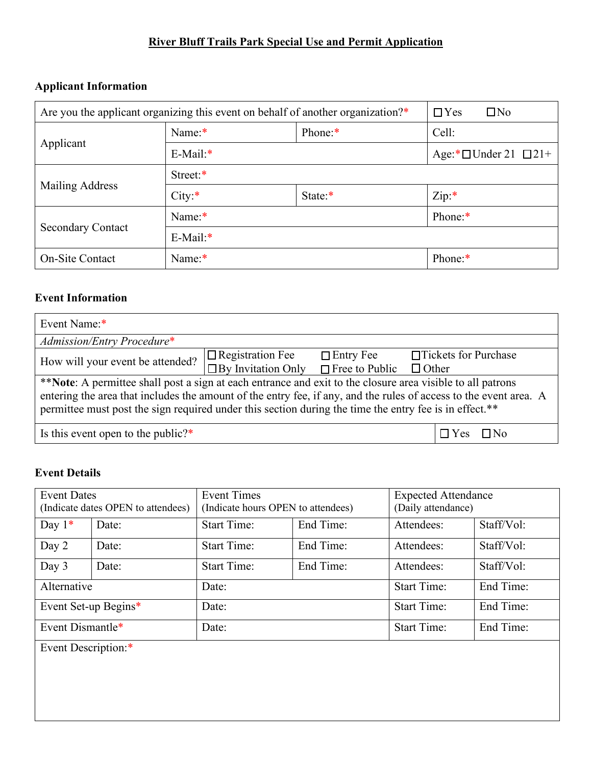# **River Bluff Trails Park Special Use and Permit Application**

## **Applicant Information**

| Are you the applicant organizing this event on behalf of another organization?* |          | $\Box$ Yes<br>$\Box$ No |                                  |  |  |
|---------------------------------------------------------------------------------|----------|-------------------------|----------------------------------|--|--|
|                                                                                 | Name:*   | Phone:*                 | Cell:                            |  |  |
| Applicant                                                                       | E-Mail:* |                         | Age:* $\Box$ Under 21 $\Box$ 21+ |  |  |
|                                                                                 | Street:* |                         |                                  |  |  |
| Mailing Address                                                                 | City:    | State:*                 | Zip:                             |  |  |
|                                                                                 | Name:*   |                         | Phone:*                          |  |  |
| <b>Secondary Contact</b>                                                        | E-Mail:* |                         |                                  |  |  |
| <b>On-Site Contact</b>                                                          | Name:*   | Phone:*                 |                                  |  |  |

## **Event Information**

| Event Name:*                                                                                                      |                           |                                    |            |                       |
|-------------------------------------------------------------------------------------------------------------------|---------------------------|------------------------------------|------------|-----------------------|
| Admission/Entry Procedure*                                                                                        |                           |                                    |            |                       |
| How will your event be attended?                                                                                  | $\Box$ Registration Fee   | $\Box$ Entry Fee                   |            | □Tickets for Purchase |
|                                                                                                                   | $\Box$ By Invitation Only | $\Box$ Free to Public $\Box$ Other |            |                       |
| **Note: A permittee shall post a sign at each entrance and exit to the closure area visible to all patrons        |                           |                                    |            |                       |
| entering the area that includes the amount of the entry fee, if any, and the rules of access to the event area. A |                           |                                    |            |                       |
| permittee must post the sign required under this section during the time the entry fee is in effect.**            |                           |                                    |            |                       |
| Is this event open to the public? $*$                                                                             |                           |                                    | $\Box$ Yes | $\Box$ No             |

# **Event Details**

| <b>Event Dates</b>  | <b>Event Times</b><br>(Indicate dates OPEN to attendees)<br>(Indicate hours OPEN to attendees) |                    | <b>Expected Attendance</b><br>(Daily attendance) |                    |            |
|---------------------|------------------------------------------------------------------------------------------------|--------------------|--------------------------------------------------|--------------------|------------|
| Day $1*$            | Date:                                                                                          | <b>Start Time:</b> | End Time:                                        | Attendees:         | Staff/Vol: |
| Day 2               | Date:                                                                                          | <b>Start Time:</b> | End Time:                                        | Attendees:         | Staff/Vol: |
| Day 3               | Date:                                                                                          | <b>Start Time:</b> | End Time:                                        | Attendees:         | Staff/Vol: |
| Alternative         |                                                                                                | Date:              |                                                  | <b>Start Time:</b> | End Time:  |
|                     | Event Set-up Begins*                                                                           | Date:              |                                                  | <b>Start Time:</b> | End Time:  |
| Event Dismantle*    |                                                                                                | Date:              |                                                  | <b>Start Time:</b> | End Time:  |
| Event Description:* |                                                                                                |                    |                                                  |                    |            |
|                     |                                                                                                |                    |                                                  |                    |            |
|                     |                                                                                                |                    |                                                  |                    |            |
|                     |                                                                                                |                    |                                                  |                    |            |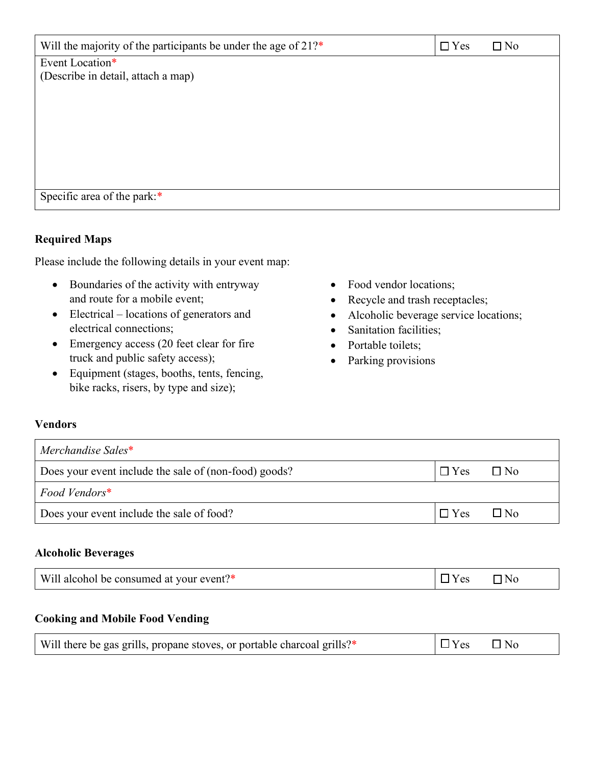| Will the majority of the participants be under the age of 21?* | $\Box$ Yes | $\Box$ No |
|----------------------------------------------------------------|------------|-----------|
| Event Location*                                                |            |           |
| (Describe in detail, attach a map)                             |            |           |
|                                                                |            |           |
|                                                                |            |           |
|                                                                |            |           |
|                                                                |            |           |
|                                                                |            |           |
|                                                                |            |           |
|                                                                |            |           |
| Specific area of the park:*                                    |            |           |

## **Required Maps**

Please include the following details in your event map:

- Boundaries of the activity with entryway and route for a mobile event;
- Electrical locations of generators and electrical connections;
- Emergency access (20 feet clear for fire truck and public safety access);
- Equipment (stages, booths, tents, fencing, bike racks, risers, by type and size);
- Food vendor locations;
- Recycle and trash receptacles;
- Alcoholic beverage service locations;
- Sanitation facilities;
- Portable toilets;
- Parking provisions

#### **Vendors**

| Merchandise Sales*                                    |            |           |
|-------------------------------------------------------|------------|-----------|
| Does your event include the sale of (non-food) goods? | $\Box$ Yes | $\Box$ No |
| Food Vendors*                                         |            |           |
| Does your event include the sale of food?             | $\Box$ Yes | ∃No       |

#### **Alcoholic Beverages**

| Will alcohol be consumed at your event?* | $\exists$ Yes | $\neg$ No |
|------------------------------------------|---------------|-----------|
|------------------------------------------|---------------|-----------|

## **Cooking and Mobile Food Vending**

| Will there be gas grills, propane stoves, or portable charcoal grills?* | $\Box$ Yes $\Box$ No |  |  |
|-------------------------------------------------------------------------|----------------------|--|--|
|-------------------------------------------------------------------------|----------------------|--|--|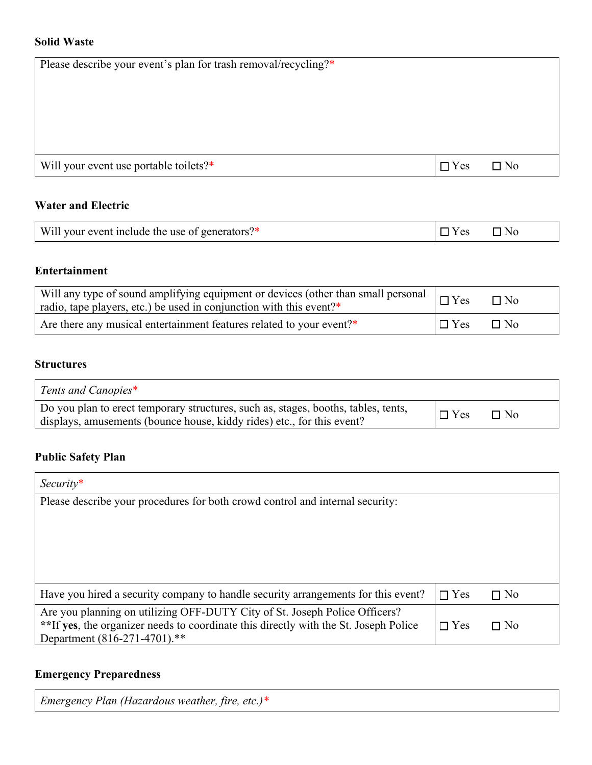## **Solid Waste**

| Please describe your event's plan for trash removal/recycling?* |            |           |
|-----------------------------------------------------------------|------------|-----------|
|                                                                 |            |           |
|                                                                 |            |           |
|                                                                 |            |           |
|                                                                 |            |           |
| Will your event use portable toilets?*                          | $\Box$ Yes | $\Box$ No |

## **Water and Electric**

| Will your event include the use of generators?* | Y es | $\n  7$ No |
|-------------------------------------------------|------|------------|
|-------------------------------------------------|------|------------|

# **Entertainment**

| $\vert$ radio, tape players, etc.) be used in conjunction with this event?* |            | $\Box$ No |
|-----------------------------------------------------------------------------|------------|-----------|
| Are there any musical entertainment features related to your event?*        | $\Box$ Yes | $\Box$ No |

## **Structures**

| Tents and Canopies*                                                                                                                                          |            |           |
|--------------------------------------------------------------------------------------------------------------------------------------------------------------|------------|-----------|
| Do you plan to erect temporary structures, such as, stages, booths, tables, tents,<br>displays, amusements (bounce house, kiddy rides) etc., for this event? | $\Box$ Yes | $\Box$ No |

## **Public Safety Plan**

| $Security*$                                                                          |            |           |
|--------------------------------------------------------------------------------------|------------|-----------|
| Please describe your procedures for both crowd control and internal security:        |            |           |
|                                                                                      |            |           |
|                                                                                      |            |           |
|                                                                                      |            |           |
|                                                                                      |            |           |
|                                                                                      |            |           |
| Have you hired a security company to handle security arrangements for this event?    | $\Box$ Yes | $\Box$ No |
| Are you planning on utilizing OFF-DUTY City of St. Joseph Police Officers?           |            |           |
| **If yes, the organizer needs to coordinate this directly with the St. Joseph Police | $\Box$ Yes | $\Box$ No |
| Department (816-271-4701).**                                                         |            |           |

# **Emergency Preparedness**

|  | Emergency Plan (Hazardous weather, fire, etc.)* |  |
|--|-------------------------------------------------|--|
|--|-------------------------------------------------|--|